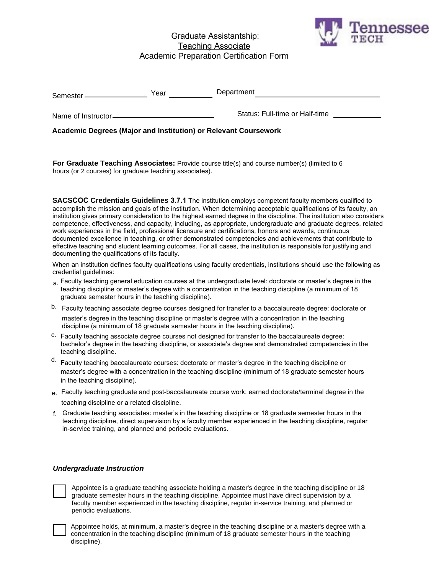# Graduate Assistantship: Teaching Associate Academic Preparation Certification Form



| Semester            | Year | Department                     |
|---------------------|------|--------------------------------|
| Name of Instructor- |      | Status: Full-time or Half-time |

**Academic Degrees (Major and Institution) or Relevant Coursework** 

**For Graduate Teaching Associates:** Provide course title(s) and course number(s) (limited to 6 hours (or 2 courses) for graduate teaching associates).

**SACSCOC Credentials Guidelines 3.7.1** The institution employs competent faculty members qualified to accomplish the mission and goals of the institution. When determining acceptable qualifications of its faculty, an institution gives primary consideration to the highest earned degree in the discipline. The institution also considers competence, effectiveness, and capacity, including, as appropriate, undergraduate and graduate degrees, related work experiences in the field, professional licensure and certifications, honors and awards, continuous documented excellence in teaching, or other demonstrated competencies and achievements that contribute to effective teaching and student learning outcomes. For all cases, the institution is responsible for justifying and documenting the qualifications of its faculty.

When an institution defines faculty qualifications using faculty credentials, institutions should use the following as credential guidelines:

- a. Faculty teaching general education courses at the undergraduate level: doctorate or master's degree in the teaching discipline or master's degree with a concentration in the teaching discipline (a minimum of 18 graduate semester hours in the teaching discipline).
- b. Faculty teaching associate degree courses designed for transfer to a baccalaureate degree: doctorate or master's degree in the teaching discipline or master's degree with a concentration in the teaching discipline (a minimum of 18 graduate semester hours in the teaching discipline).
- c. Faculty teaching associate degree courses not designed for transfer to the baccalaureate degree: bachelor's degree in the teaching discipline, or associate's degree and demonstrated competencies in the teaching discipline.
- d. Faculty teaching baccalaureate courses: doctorate or master's degree in the teaching discipline or master's degree with a concentration in the teaching discipline (minimum of 18 graduate semester hours in the teaching discipline).
- e. Faculty teaching graduate and post-baccalaureate course work: earned doctorate/terminal degree in the teaching discipline or a related discipline.
- f. Graduate teaching associates: master's in the teaching discipline or 18 graduate semester hours in the teaching discipline, direct supervision by a faculty member experienced in the teaching discipline, regular in-service training, and planned and periodic evaluations.

## *Undergraduate Instruction*

Appointee is a graduate teaching associate holding a master's degree in the teaching discipline or 18 graduate semester hours in the teaching discipline. Appointee must have direct supervision by a faculty member experienced in the teaching discipline, regular in-service training, and planned or periodic evaluations.

Appointee holds, at minimum, a master's degree in the teaching discipline or a master's degree with a concentration in the teaching discipline (minimum of 18 graduate semester hours in the teaching discipline).